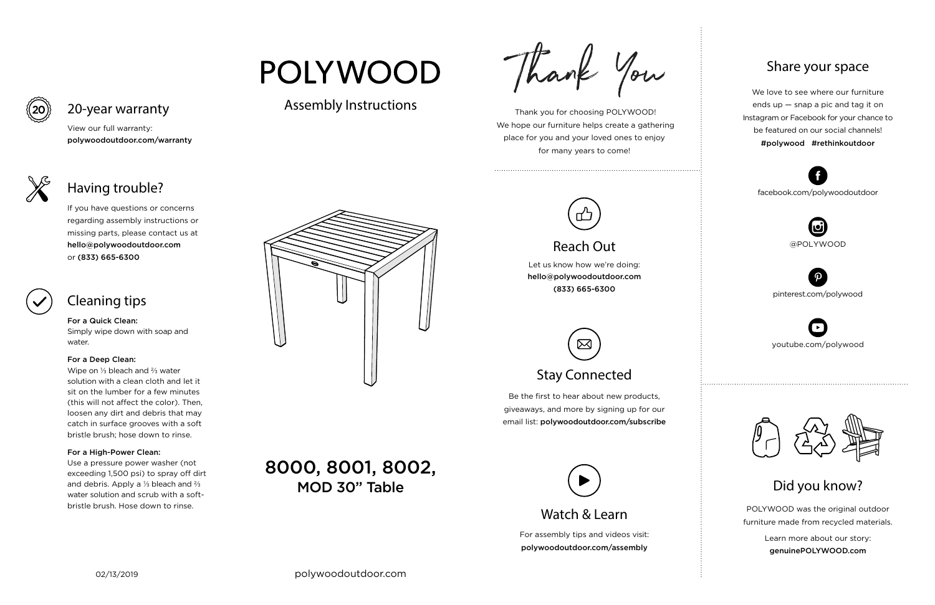For assembly tips and videos visit: polywoodoutdoor.com/assembly

 Thank you for choosing POLYWOOD! We hope our furniture helps create a gathering place for you and your loved ones to enjoy for many years to come!



Let us know how we're doing: hello@polywoodoutdoor.com (833) 665-6300



Be the first to hear about new products, giveaways, and more by signing up for our email list: polywoodoutdoor.com/subscribe

> POLYWOOD was the original outdoor furniture made from recycled materials.

> > Learn more about our story: genuinePOLYWOOD.com

We love to see where our furniture ends up — snap a pic and tag it on Instagram or Facebook for your chance to be featured on our social channels! #polywood #rethinkoutdoor



youtube.com/polywood



pinterest.com/polywood



facebook.com/polywoodoutdoor





## POLYWOOD

## Assembly Instructions

Thank You



# Reach Out

## Stay Connected

### Share your space

Did you know?

View our full warranty:

polywoodoutdoor.com/warranty

For a Quick Clean: Simply wipe down with soap and water.

#### For a Deep Clean:

Wipe on ⅓ bleach and ⅔ water solution with a clean cloth and let it sit on the lumber for a few minutes (this will not affect the color). Then, loosen any dirt and debris that may catch in surface grooves with a soft bristle brush; hose down to rinse.

#### For a High-Power Clean:

Use a pressure power washer (not exceeding 1,500 psi) to spray off dirt and debris. Apply a ⅓ bleach and ⅔ water solution and scrub with a softbristle brush. Hose down to rinse.



If you have questions or concerns regarding assembly instructions or missing parts, please contact us at hello@polywoodoutdoor.com or (833) 665-6300



20-year warranty

## Having trouble?

## Cleaning tips

## 8000, 8001, 8002, MOD 30" Table